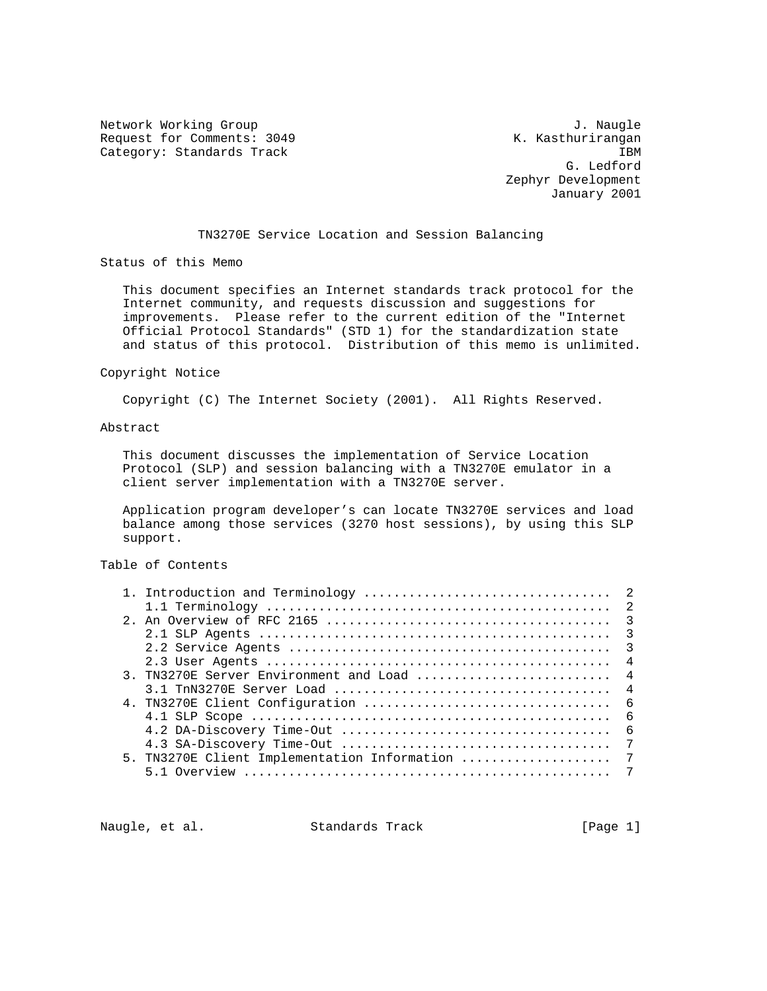Network Working Group 30 and 100 and 100 and 100 and 100 and 100 and 100 and 100 and 100 and 100 and 100 and 1 Request for Comments: 3049 K. Kasthurirangan Category: Standards Track IBM and the state of the state of the state of the state of the state of the state of the state of the state of the state of the state of the state of the state of the state of the state of the st

 G. Ledford Zephyr Development January 2001

TN3270E Service Location and Session Balancing

Status of this Memo

 This document specifies an Internet standards track protocol for the Internet community, and requests discussion and suggestions for improvements. Please refer to the current edition of the "Internet Official Protocol Standards" (STD 1) for the standardization state and status of this protocol. Distribution of this memo is unlimited.

#### Copyright Notice

Copyright (C) The Internet Society (2001). All Rights Reserved.

# Abstract

 This document discusses the implementation of Service Location Protocol (SLP) and session balancing with a TN3270E emulator in a client server implementation with a TN3270E server.

 Application program developer's can locate TN3270E services and load balance among those services (3270 host sessions), by using this SLP support.

# Table of Contents

| $\overline{4}$<br>3. TN3270E Server Environment and Load |  |
|----------------------------------------------------------|--|
|                                                          |  |
|                                                          |  |
| - 6                                                      |  |
| 6                                                        |  |
|                                                          |  |
| 5. TN3270E Client Implementation Information  7          |  |
|                                                          |  |

Naugle, et al. Standards Track [Page 1]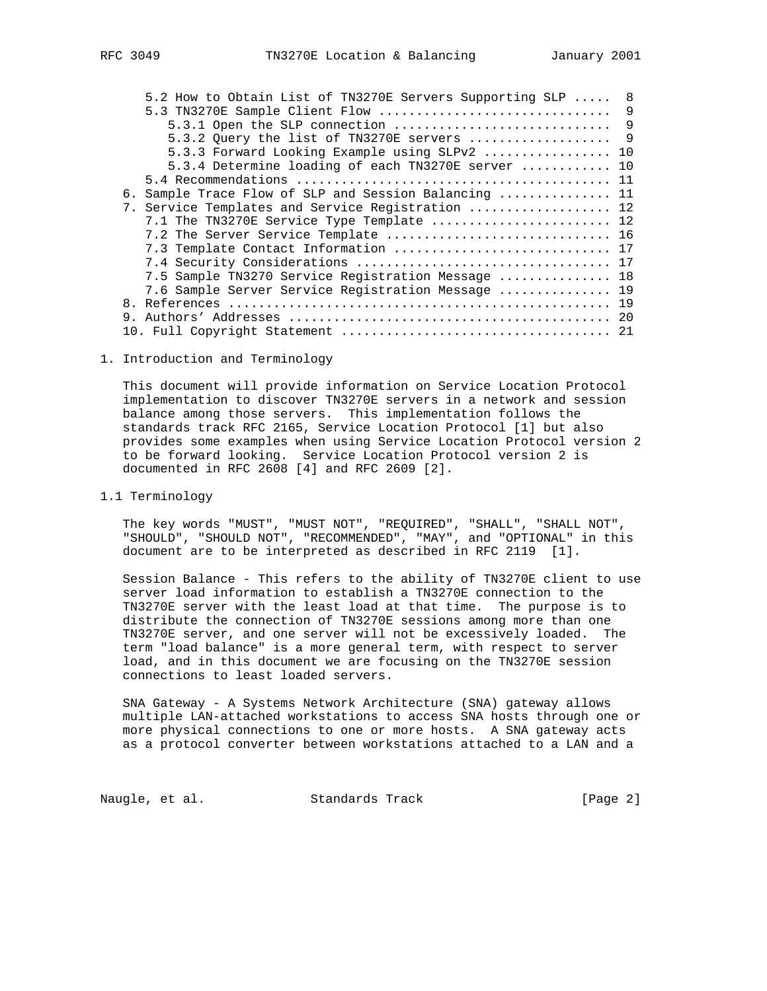| 5.2 How to Obtain List of TN3270E Servers Supporting SLP | - 8            |
|----------------------------------------------------------|----------------|
| 5.3 TN3270E Sample Client Flow                           | 9              |
| 5.3.1 Open the SLP connection                            | $\mathsf{Q}$   |
| 5.3.2 Ouery the list of TN3270E servers                  | $\overline{9}$ |
| 5.3.3 Forward Looking Example using SLPv2  10            |                |
| 5.3.4 Determine loading of each TN3270E server  10       |                |
|                                                          |                |
| 6. Sample Trace Flow of SLP and Session Balancing  11    |                |
| 7. Service Templates and Service Registration  12        |                |
| 7.1 The TN3270E Service Type Template  12                |                |
| 7.2 The Server Service Template  16                      |                |
| 7.3 Template Contact Information  17                     |                |
|                                                          |                |
| 7.5 Sample TN3270 Service Registration Message  18       |                |
| 7.6 Sample Server Service Registration Message  19       |                |
|                                                          |                |
|                                                          |                |
|                                                          |                |

1. Introduction and Terminology

 This document will provide information on Service Location Protocol implementation to discover TN3270E servers in a network and session balance among those servers. This implementation follows the standards track RFC 2165, Service Location Protocol [1] but also provides some examples when using Service Location Protocol version 2 to be forward looking. Service Location Protocol version 2 is documented in RFC 2608 [4] and RFC 2609 [2].

1.1 Terminology

 The key words "MUST", "MUST NOT", "REQUIRED", "SHALL", "SHALL NOT", "SHOULD", "SHOULD NOT", "RECOMMENDED", "MAY", and "OPTIONAL" in this document are to be interpreted as described in RFC 2119 [1].

 Session Balance - This refers to the ability of TN3270E client to use server load information to establish a TN3270E connection to the TN3270E server with the least load at that time. The purpose is to distribute the connection of TN3270E sessions among more than one TN3270E server, and one server will not be excessively loaded. The term "load balance" is a more general term, with respect to server load, and in this document we are focusing on the TN3270E session connections to least loaded servers.

 SNA Gateway - A Systems Network Architecture (SNA) gateway allows multiple LAN-attached workstations to access SNA hosts through one or more physical connections to one or more hosts. A SNA gateway acts as a protocol converter between workstations attached to a LAN and a

Naugle, et al. Standards Track (Page 2)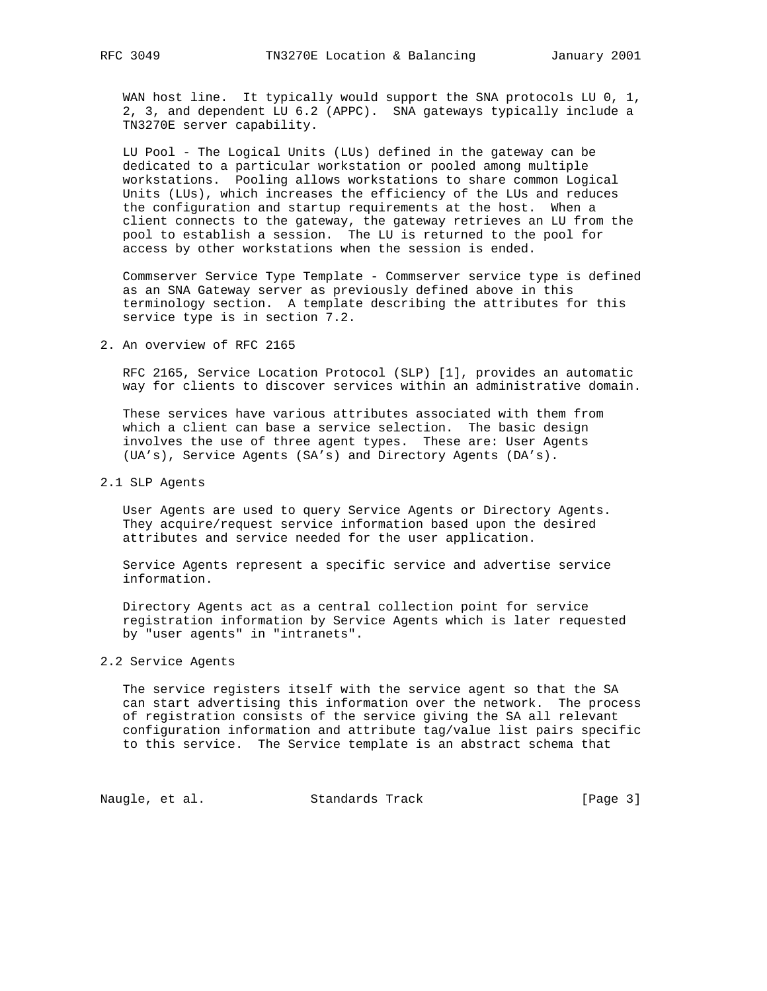WAN host line. It typically would support the SNA protocols LU 0, 1, 2, 3, and dependent LU 6.2 (APPC). SNA gateways typically include a TN3270E server capability.

 LU Pool - The Logical Units (LUs) defined in the gateway can be dedicated to a particular workstation or pooled among multiple workstations. Pooling allows workstations to share common Logical Units (LUs), which increases the efficiency of the LUs and reduces the configuration and startup requirements at the host. When a client connects to the gateway, the gateway retrieves an LU from the pool to establish a session. The LU is returned to the pool for access by other workstations when the session is ended.

 Commserver Service Type Template - Commserver service type is defined as an SNA Gateway server as previously defined above in this terminology section. A template describing the attributes for this service type is in section 7.2.

2. An overview of RFC 2165

 RFC 2165, Service Location Protocol (SLP) [1], provides an automatic way for clients to discover services within an administrative domain.

 These services have various attributes associated with them from which a client can base a service selection. The basic design involves the use of three agent types. These are: User Agents (UA's), Service Agents (SA's) and Directory Agents (DA's).

2.1 SLP Agents

 User Agents are used to query Service Agents or Directory Agents. They acquire/request service information based upon the desired attributes and service needed for the user application.

 Service Agents represent a specific service and advertise service information.

 Directory Agents act as a central collection point for service registration information by Service Agents which is later requested by "user agents" in "intranets".

## 2.2 Service Agents

 The service registers itself with the service agent so that the SA can start advertising this information over the network. The process of registration consists of the service giving the SA all relevant configuration information and attribute tag/value list pairs specific to this service. The Service template is an abstract schema that

Naugle, et al. Standards Track [Page 3]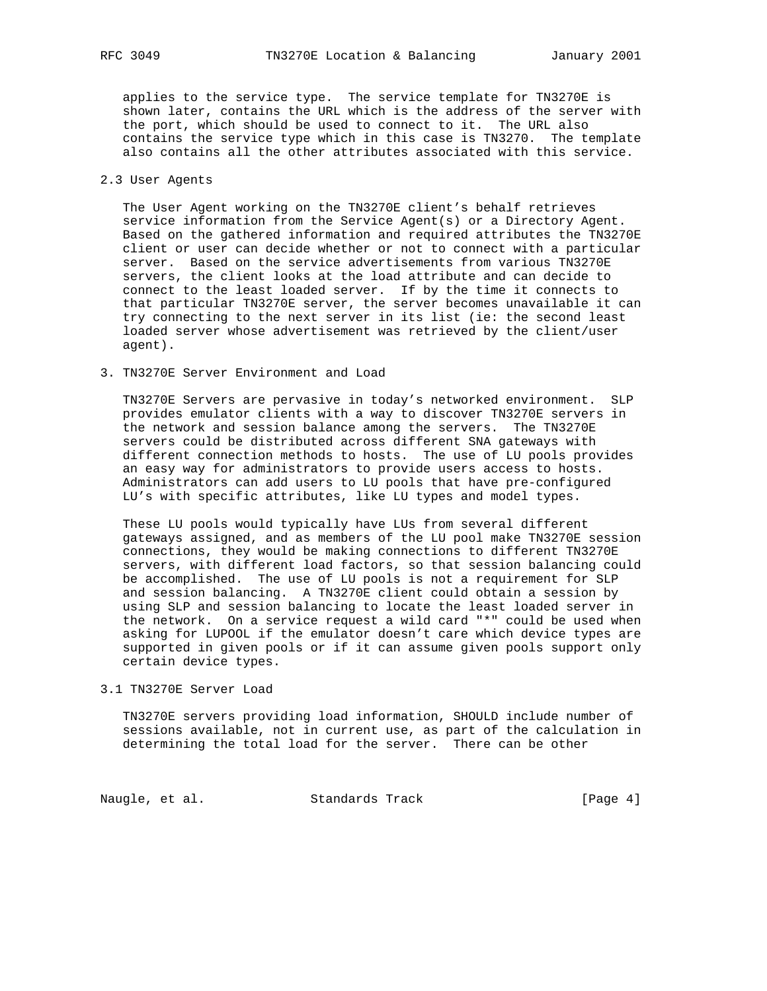applies to the service type. The service template for TN3270E is shown later, contains the URL which is the address of the server with the port, which should be used to connect to it. The URL also contains the service type which in this case is TN3270. The template also contains all the other attributes associated with this service.

## 2.3 User Agents

 The User Agent working on the TN3270E client's behalf retrieves service information from the Service Agent(s) or a Directory Agent. Based on the gathered information and required attributes the TN3270E client or user can decide whether or not to connect with a particular server. Based on the service advertisements from various TN3270E servers, the client looks at the load attribute and can decide to connect to the least loaded server. If by the time it connects to that particular TN3270E server, the server becomes unavailable it can try connecting to the next server in its list (ie: the second least loaded server whose advertisement was retrieved by the client/user agent).

3. TN3270E Server Environment and Load

 TN3270E Servers are pervasive in today's networked environment. SLP provides emulator clients with a way to discover TN3270E servers in the network and session balance among the servers. The TN3270E servers could be distributed across different SNA gateways with different connection methods to hosts. The use of LU pools provides an easy way for administrators to provide users access to hosts. Administrators can add users to LU pools that have pre-configured LU's with specific attributes, like LU types and model types.

 These LU pools would typically have LUs from several different gateways assigned, and as members of the LU pool make TN3270E session connections, they would be making connections to different TN3270E servers, with different load factors, so that session balancing could be accomplished. The use of LU pools is not a requirement for SLP and session balancing. A TN3270E client could obtain a session by using SLP and session balancing to locate the least loaded server in the network. On a service request a wild card "\*" could be used when asking for LUPOOL if the emulator doesn't care which device types are supported in given pools or if it can assume given pools support only certain device types.

3.1 TN3270E Server Load

 TN3270E servers providing load information, SHOULD include number of sessions available, not in current use, as part of the calculation in determining the total load for the server. There can be other

Naugle, et al. Standards Track (Page 4)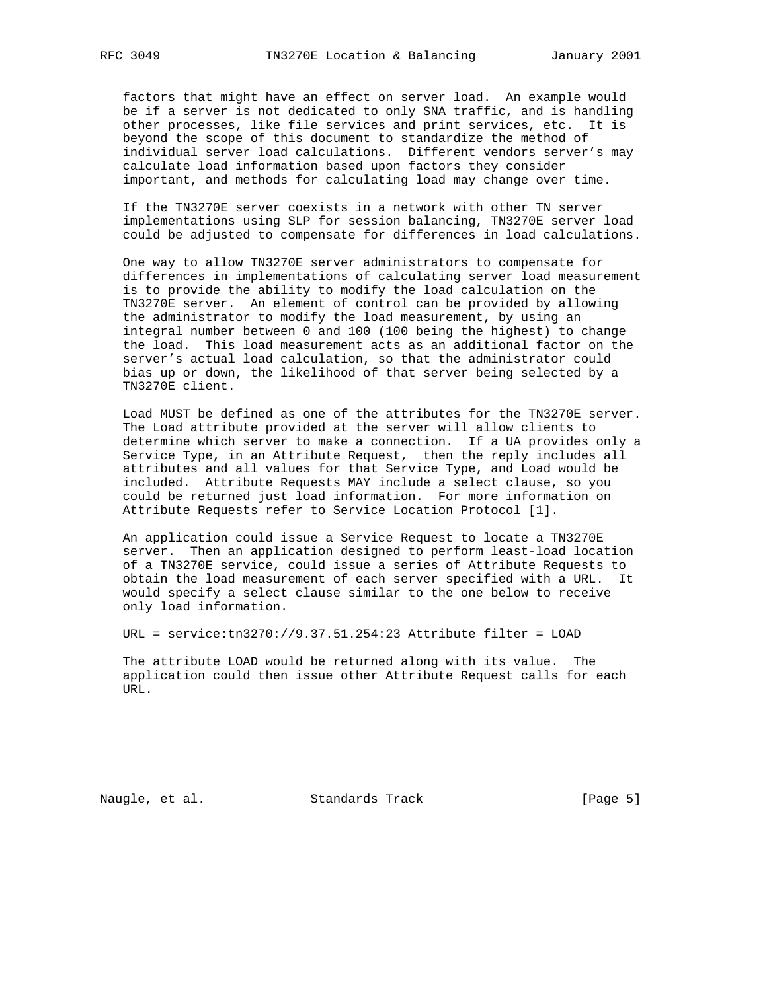factors that might have an effect on server load. An example would be if a server is not dedicated to only SNA traffic, and is handling other processes, like file services and print services, etc. It is beyond the scope of this document to standardize the method of individual server load calculations. Different vendors server's may calculate load information based upon factors they consider important, and methods for calculating load may change over time.

 If the TN3270E server coexists in a network with other TN server implementations using SLP for session balancing, TN3270E server load could be adjusted to compensate for differences in load calculations.

 One way to allow TN3270E server administrators to compensate for differences in implementations of calculating server load measurement is to provide the ability to modify the load calculation on the TN3270E server. An element of control can be provided by allowing the administrator to modify the load measurement, by using an integral number between 0 and 100 (100 being the highest) to change the load. This load measurement acts as an additional factor on the server's actual load calculation, so that the administrator could bias up or down, the likelihood of that server being selected by a TN3270E client.

 Load MUST be defined as one of the attributes for the TN3270E server. The Load attribute provided at the server will allow clients to determine which server to make a connection. If a UA provides only a Service Type, in an Attribute Request, then the reply includes all attributes and all values for that Service Type, and Load would be included. Attribute Requests MAY include a select clause, so you could be returned just load information. For more information on Attribute Requests refer to Service Location Protocol [1].

 An application could issue a Service Request to locate a TN3270E server. Then an application designed to perform least-load location of a TN3270E service, could issue a series of Attribute Requests to obtain the load measurement of each server specified with a URL. It would specify a select clause similar to the one below to receive only load information.

URL =  $s$ ervice:tn3270://9.37.51.254:23 Attribute filter = LOAD

 The attribute LOAD would be returned along with its value. The application could then issue other Attribute Request calls for each URL.

Naugle, et al. Standards Track [Page 5]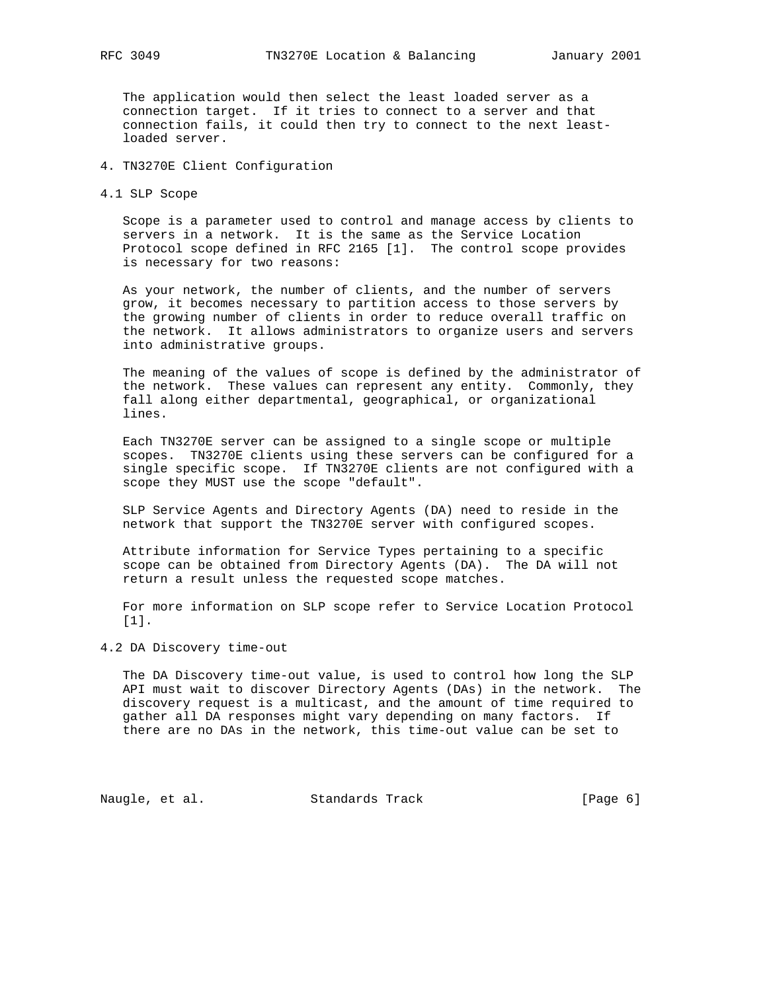The application would then select the least loaded server as a connection target. If it tries to connect to a server and that connection fails, it could then try to connect to the next least loaded server.

- 4. TN3270E Client Configuration
- 4.1 SLP Scope

 Scope is a parameter used to control and manage access by clients to servers in a network. It is the same as the Service Location Protocol scope defined in RFC 2165 [1]. The control scope provides is necessary for two reasons:

 As your network, the number of clients, and the number of servers grow, it becomes necessary to partition access to those servers by the growing number of clients in order to reduce overall traffic on the network. It allows administrators to organize users and servers into administrative groups.

 The meaning of the values of scope is defined by the administrator of the network. These values can represent any entity. Commonly, they fall along either departmental, geographical, or organizational lines.

 Each TN3270E server can be assigned to a single scope or multiple scopes. TN3270E clients using these servers can be configured for a single specific scope. If TN3270E clients are not configured with a scope they MUST use the scope "default".

 SLP Service Agents and Directory Agents (DA) need to reside in the network that support the TN3270E server with configured scopes.

 Attribute information for Service Types pertaining to a specific scope can be obtained from Directory Agents (DA). The DA will not return a result unless the requested scope matches.

 For more information on SLP scope refer to Service Location Protocol [1].

4.2 DA Discovery time-out

 The DA Discovery time-out value, is used to control how long the SLP API must wait to discover Directory Agents (DAs) in the network. The discovery request is a multicast, and the amount of time required to gather all DA responses might vary depending on many factors. If there are no DAs in the network, this time-out value can be set to

Naugle, et al. Standards Track [Page 6]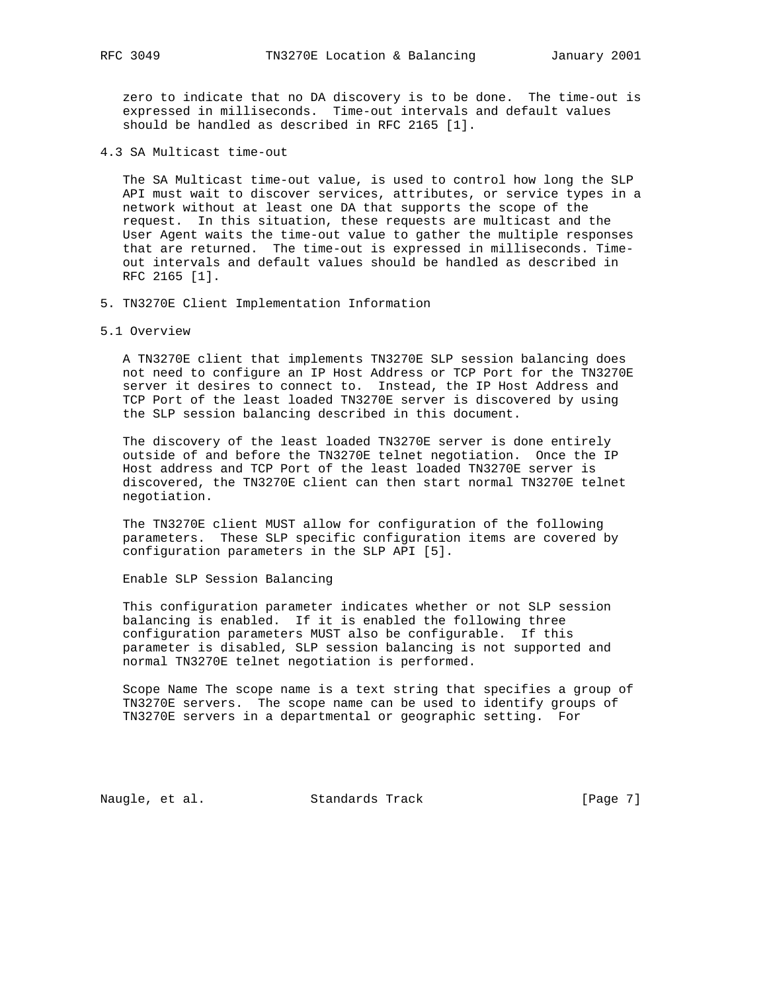zero to indicate that no DA discovery is to be done. The time-out is expressed in milliseconds. Time-out intervals and default values should be handled as described in RFC 2165 [1].

4.3 SA Multicast time-out

 The SA Multicast time-out value, is used to control how long the SLP API must wait to discover services, attributes, or service types in a network without at least one DA that supports the scope of the request. In this situation, these requests are multicast and the User Agent waits the time-out value to gather the multiple responses that are returned. The time-out is expressed in milliseconds. Time out intervals and default values should be handled as described in RFC 2165 [1].

- 5. TN3270E Client Implementation Information
- 5.1 Overview

 A TN3270E client that implements TN3270E SLP session balancing does not need to configure an IP Host Address or TCP Port for the TN3270E server it desires to connect to. Instead, the IP Host Address and TCP Port of the least loaded TN3270E server is discovered by using the SLP session balancing described in this document.

 The discovery of the least loaded TN3270E server is done entirely outside of and before the TN3270E telnet negotiation. Once the IP Host address and TCP Port of the least loaded TN3270E server is discovered, the TN3270E client can then start normal TN3270E telnet negotiation.

 The TN3270E client MUST allow for configuration of the following parameters. These SLP specific configuration items are covered by configuration parameters in the SLP API [5].

Enable SLP Session Balancing

 This configuration parameter indicates whether or not SLP session balancing is enabled. If it is enabled the following three configuration parameters MUST also be configurable. If this parameter is disabled, SLP session balancing is not supported and normal TN3270E telnet negotiation is performed.

 Scope Name The scope name is a text string that specifies a group of TN3270E servers. The scope name can be used to identify groups of TN3270E servers in a departmental or geographic setting. For

Naugle, et al. Standards Track [Page 7]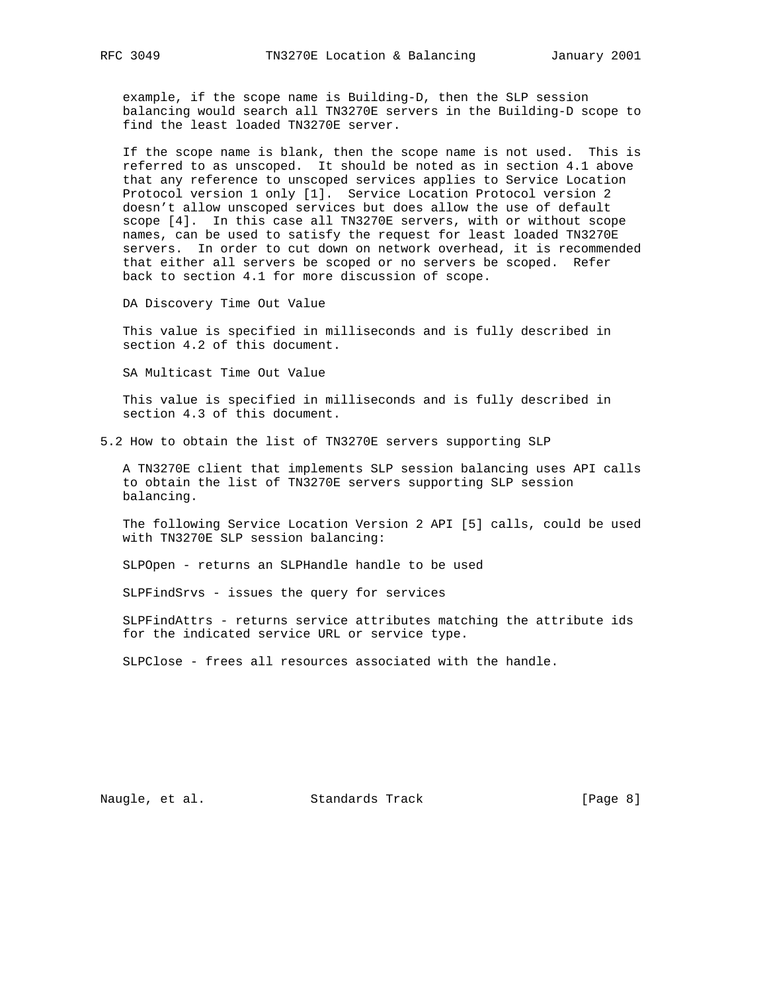example, if the scope name is Building-D, then the SLP session balancing would search all TN3270E servers in the Building-D scope to find the least loaded TN3270E server.

 If the scope name is blank, then the scope name is not used. This is referred to as unscoped. It should be noted as in section 4.1 above that any reference to unscoped services applies to Service Location Protocol version 1 only [1]. Service Location Protocol version 2 doesn't allow unscoped services but does allow the use of default scope [4]. In this case all TN3270E servers, with or without scope names, can be used to satisfy the request for least loaded TN3270E servers. In order to cut down on network overhead, it is recommended that either all servers be scoped or no servers be scoped. Refer back to section 4.1 for more discussion of scope.

DA Discovery Time Out Value

 This value is specified in milliseconds and is fully described in section 4.2 of this document.

SA Multicast Time Out Value

 This value is specified in milliseconds and is fully described in section 4.3 of this document.

5.2 How to obtain the list of TN3270E servers supporting SLP

 A TN3270E client that implements SLP session balancing uses API calls to obtain the list of TN3270E servers supporting SLP session balancing.

 The following Service Location Version 2 API [5] calls, could be used with TN3270E SLP session balancing:

SLPOpen - returns an SLPHandle handle to be used

SLPFindSrvs - issues the query for services

 SLPFindAttrs - returns service attributes matching the attribute ids for the indicated service URL or service type.

SLPClose - frees all resources associated with the handle.

Naugle, et al. Standards Track [Page 8]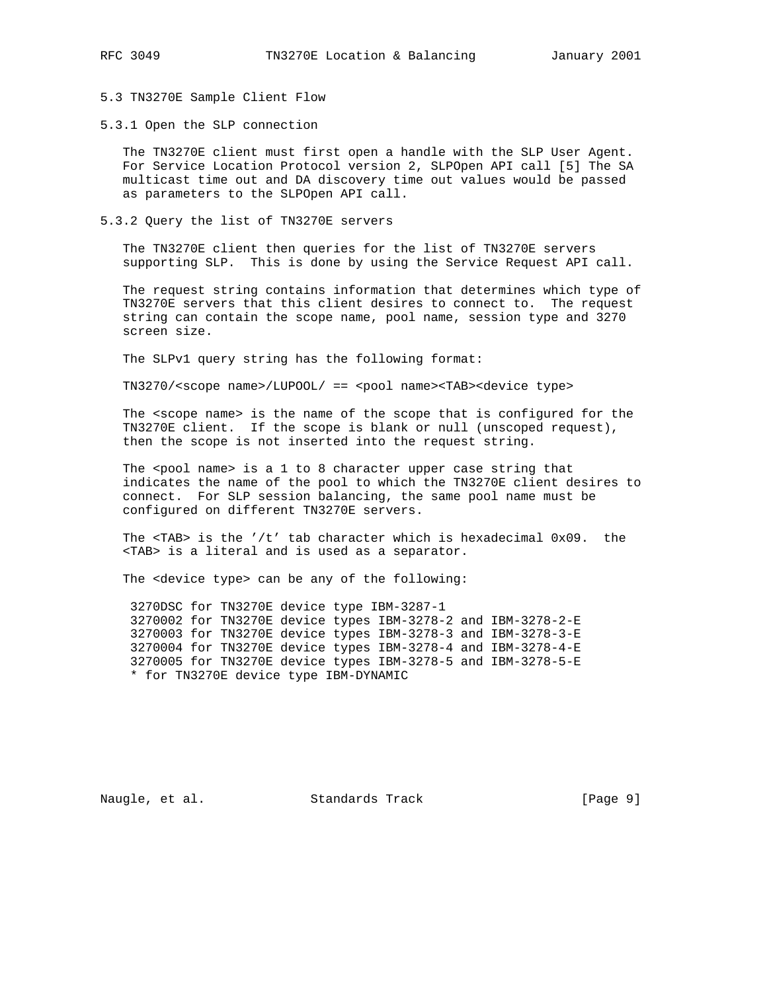5.3 TN3270E Sample Client Flow

5.3.1 Open the SLP connection

 The TN3270E client must first open a handle with the SLP User Agent. For Service Location Protocol version 2, SLPOpen API call [5] The SA multicast time out and DA discovery time out values would be passed as parameters to the SLPOpen API call.

5.3.2 Query the list of TN3270E servers

 The TN3270E client then queries for the list of TN3270E servers supporting SLP. This is done by using the Service Request API call.

 The request string contains information that determines which type of TN3270E servers that this client desires to connect to. The request string can contain the scope name, pool name, session type and 3270 screen size.

The SLPv1 query string has the following format:

TN3270/<scope name>/LUPOOL/ == <pool name><TAB><device type>

 The <scope name> is the name of the scope that is configured for the TN3270E client. If the scope is blank or null (unscoped request), then the scope is not inserted into the request string.

The <pool name> is a 1 to 8 character upper case string that indicates the name of the pool to which the TN3270E client desires to connect. For SLP session balancing, the same pool name must be configured on different TN3270E servers.

 The <TAB> is the '/t' tab character which is hexadecimal 0x09. the <TAB> is a literal and is used as a separator.

The <device type> can be any of the following:

 3270DSC for TN3270E device type IBM-3287-1 3270002 for TN3270E device types IBM-3278-2 and IBM-3278-2-E 3270003 for TN3270E device types IBM-3278-3 and IBM-3278-3-E 3270004 for TN3270E device types IBM-3278-4 and IBM-3278-4-E 3270005 for TN3270E device types IBM-3278-5 and IBM-3278-5-E \* for TN3270E device type IBM-DYNAMIC

Naugle, et al. Standards Track [Page 9]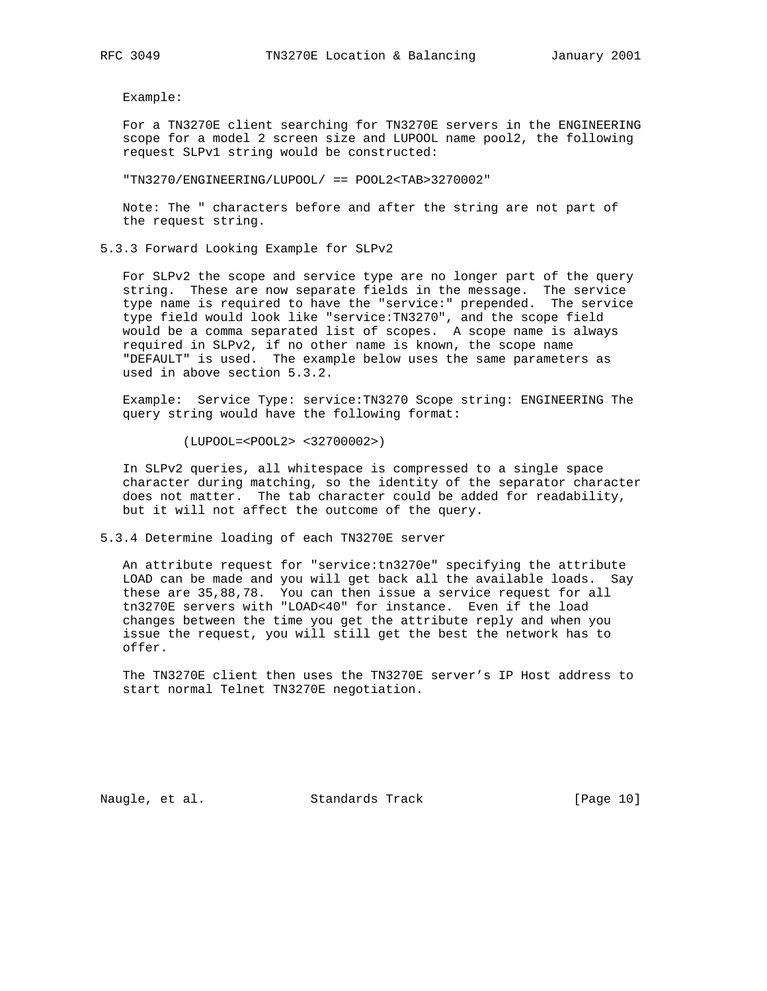Example:

 For a TN3270E client searching for TN3270E servers in the ENGINEERING scope for a model 2 screen size and LUPOOL name pool2, the following request SLPv1 string would be constructed:

"TN3270/ENGINEERING/LUPOOL/ == POOL2<TAB>3270002"

 Note: The " characters before and after the string are not part of the request string.

5.3.3 Forward Looking Example for SLPv2

 For SLPv2 the scope and service type are no longer part of the query string. These are now separate fields in the message. The service type name is required to have the "service:" prepended. The service type field would look like "service:TN3270", and the scope field would be a comma separated list of scopes. A scope name is always required in SLPv2, if no other name is known, the scope name "DEFAULT" is used. The example below uses the same parameters as used in above section 5.3.2.

 Example: Service Type: service:TN3270 Scope string: ENGINEERING The query string would have the following format:

(LUPOOL=<POOL2> <32700002>)

 In SLPv2 queries, all whitespace is compressed to a single space character during matching, so the identity of the separator character does not matter. The tab character could be added for readability, but it will not affect the outcome of the query.

5.3.4 Determine loading of each TN3270E server

 An attribute request for "service:tn3270e" specifying the attribute LOAD can be made and you will get back all the available loads. Say these are 35,88,78. You can then issue a service request for all tn3270E servers with "LOAD<40" for instance. Even if the load changes between the time you get the attribute reply and when you issue the request, you will still get the best the network has to offer.

 The TN3270E client then uses the TN3270E server's IP Host address to start normal Telnet TN3270E negotiation.

Naugle, et al. Standards Track [Page 10]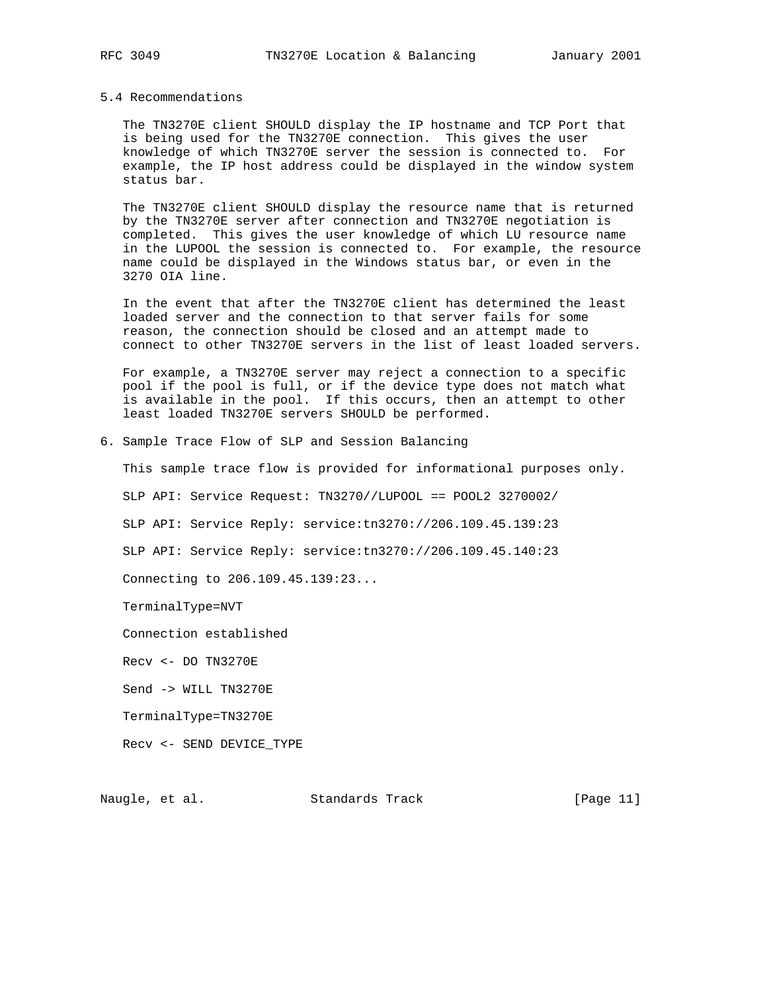### 5.4 Recommendations

 The TN3270E client SHOULD display the IP hostname and TCP Port that is being used for the TN3270E connection. This gives the user knowledge of which TN3270E server the session is connected to. For example, the IP host address could be displayed in the window system status bar.

 The TN3270E client SHOULD display the resource name that is returned by the TN3270E server after connection and TN3270E negotiation is completed. This gives the user knowledge of which LU resource name in the LUPOOL the session is connected to. For example, the resource name could be displayed in the Windows status bar, or even in the 3270 OIA line.

 In the event that after the TN3270E client has determined the least loaded server and the connection to that server fails for some reason, the connection should be closed and an attempt made to connect to other TN3270E servers in the list of least loaded servers.

 For example, a TN3270E server may reject a connection to a specific pool if the pool is full, or if the device type does not match what is available in the pool. If this occurs, then an attempt to other least loaded TN3270E servers SHOULD be performed.

6. Sample Trace Flow of SLP and Session Balancing

 This sample trace flow is provided for informational purposes only. SLP API: Service Request: TN3270//LUPOOL == POOL2 3270002/ SLP API: Service Reply: service:tn3270://206.109.45.139:23 SLP API: Service Reply: service:tn3270://206.109.45.140:23 Connecting to 206.109.45.139:23... TerminalType=NVT Connection established Recv <- DO TN3270E

Send -> WILL TN3270E

TerminalType=TN3270E

Recv <- SEND DEVICE\_TYPE

Naugle, et al. Standards Track [Page 11]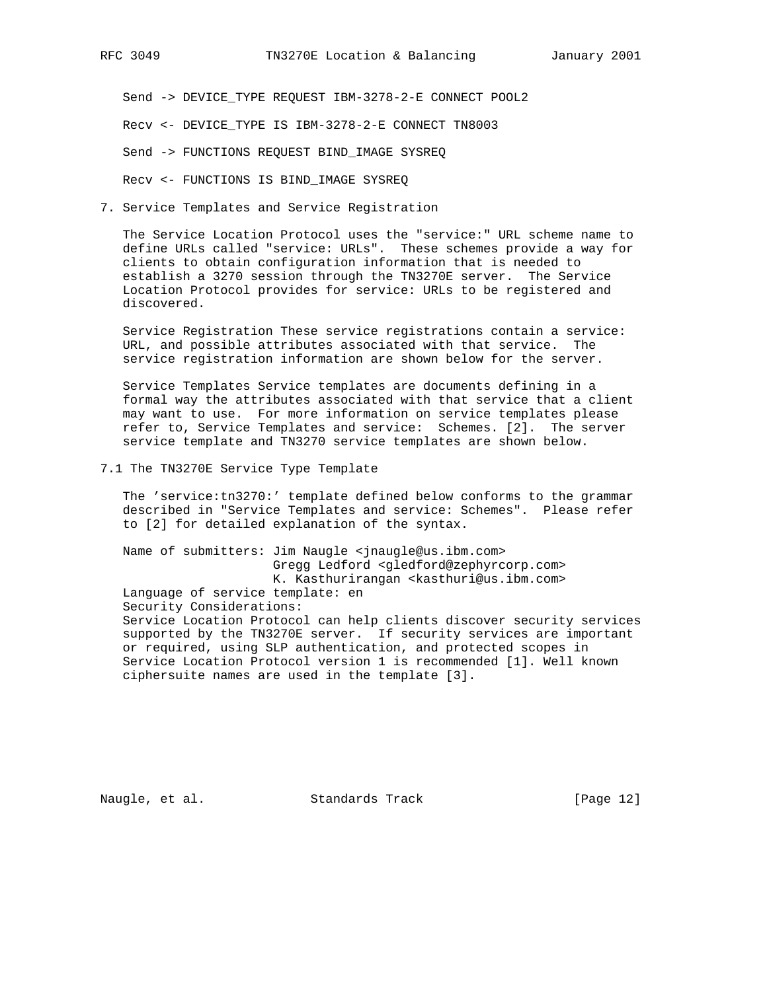Send -> DEVICE\_TYPE REQUEST IBM-3278-2-E CONNECT POOL2

Recv <- DEVICE\_TYPE IS IBM-3278-2-E CONNECT TN8003

Send -> FUNCTIONS REQUEST BIND\_IMAGE SYSREQ

Recv <- FUNCTIONS IS BIND\_IMAGE SYSREQ

7. Service Templates and Service Registration

 The Service Location Protocol uses the "service:" URL scheme name to define URLs called "service: URLs". These schemes provide a way for clients to obtain configuration information that is needed to establish a 3270 session through the TN3270E server. The Service Location Protocol provides for service: URLs to be registered and discovered.

 Service Registration These service registrations contain a service: URL, and possible attributes associated with that service. The service registration information are shown below for the server.

 Service Templates Service templates are documents defining in a formal way the attributes associated with that service that a client may want to use. For more information on service templates please refer to, Service Templates and service: Schemes. [2]. The server service template and TN3270 service templates are shown below.

7.1 The TN3270E Service Type Template

 The 'service:tn3270:' template defined below conforms to the grammar described in "Service Templates and service: Schemes". Please refer to [2] for detailed explanation of the syntax.

 Name of submitters: Jim Naugle <jnaugle@us.ibm.com> Gregg Ledford <gledford@zephyrcorp.com> K. Kasthurirangan <kasthuri@us.ibm.com> Language of service template: en Security Considerations: Service Location Protocol can help clients discover security services supported by the TN3270E server. If security services are important or required, using SLP authentication, and protected scopes in Service Location Protocol version 1 is recommended [1]. Well known ciphersuite names are used in the template [3].

Naugle, et al. Standards Track [Page 12]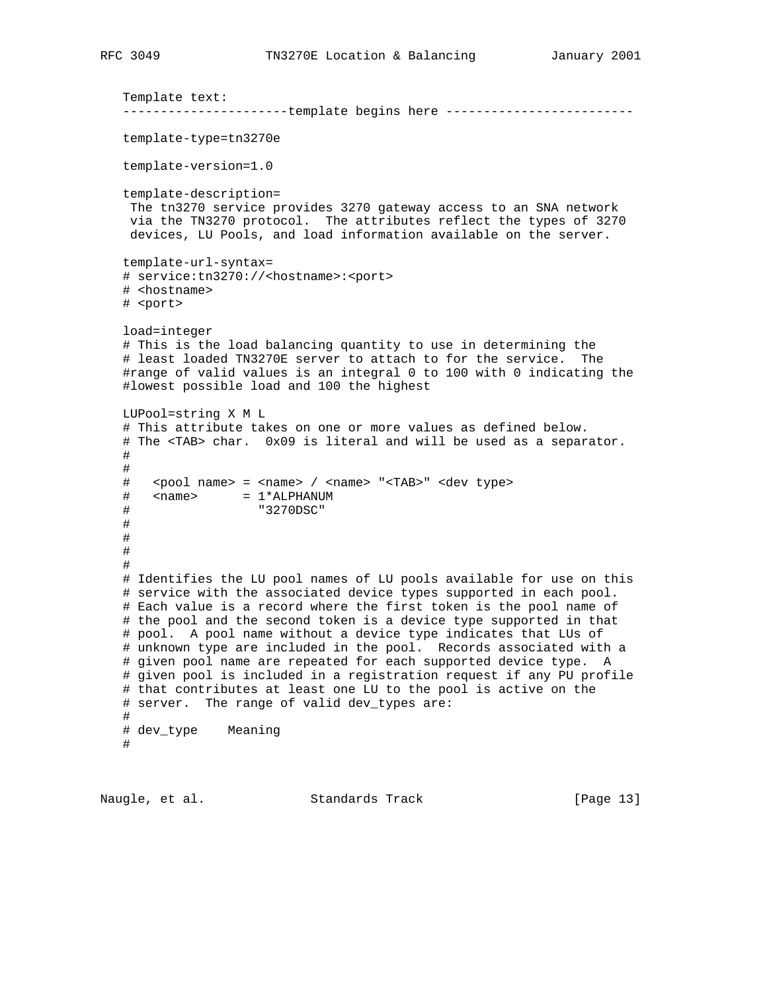```
 Template text:
----------------------template begins here -------------------------
 template-type=tn3270e
 template-version=1.0
 template-description=
 The tn3270 service provides 3270 gateway access to an SNA network
  via the TN3270 protocol. The attributes reflect the types of 3270
  devices, LU Pools, and load information available on the server.
 template-url-syntax=
 # service:tn3270://<hostname>:<port>
 # <hostname>
 # <port>
 load=integer
 # This is the load balancing quantity to use in determining the
 # least loaded TN3270E server to attach to for the service. The
 #range of valid values is an integral 0 to 100 with 0 indicating the
 #lowest possible load and 100 the highest
 LUPool=string X M L
 # This attribute takes on one or more values as defined below.
 # The <TAB> char. 0x09 is literal and will be used as a separator.
 #
 #
 # <pool name> = <name> / <name> "<TAB>" <dev type>
\# <name> = 1*ALPHANUM<br>\# "3270DSC"
                   # "3270DSC"
 #
 #
 #
 #
 # Identifies the LU pool names of LU pools available for use on this
 # service with the associated device types supported in each pool.
 # Each value is a record where the first token is the pool name of
 # the pool and the second token is a device type supported in that
 # pool. A pool name without a device type indicates that LUs of
 # unknown type are included in the pool. Records associated with a
 # given pool name are repeated for each supported device type. A
 # given pool is included in a registration request if any PU profile
 # that contributes at least one LU to the pool is active on the
 # server. The range of valid dev_types are:
 #
 # dev_type Meaning
 #
```
Naugle, et al. Standards Track [Page 13]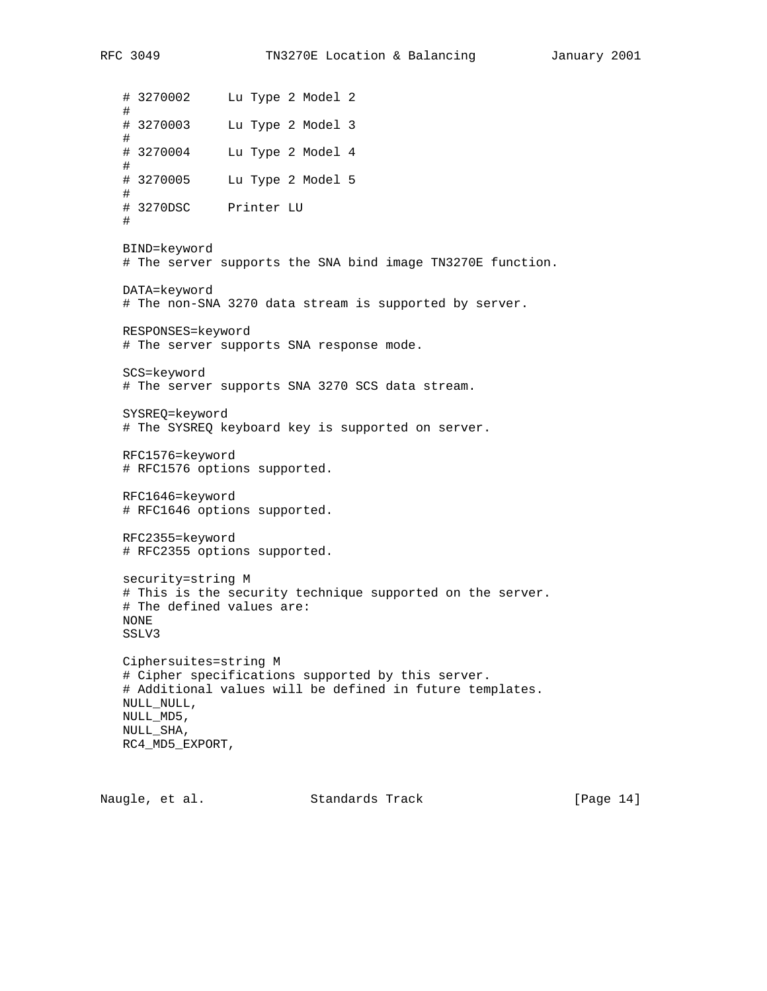```
 # 3270002 Lu Type 2 Model 2
 #
 # 3270003 Lu Type 2 Model 3
 #
 # 3270004 Lu Type 2 Model 4
 #
 # 3270005 Lu Type 2 Model 5
 #
 # 3270DSC Printer LU
 #
 BIND=keyword
 # The server supports the SNA bind image TN3270E function.
 DATA=keyword
 # The non-SNA 3270 data stream is supported by server.
 RESPONSES=keyword
 # The server supports SNA response mode.
 SCS=keyword
 # The server supports SNA 3270 SCS data stream.
 SYSREQ=keyword
 # The SYSREQ keyboard key is supported on server.
 RFC1576=keyword
 # RFC1576 options supported.
 RFC1646=keyword
 # RFC1646 options supported.
 RFC2355=keyword
 # RFC2355 options supported.
 security=string M
 # This is the security technique supported on the server.
 # The defined values are:
 NONE
 SSLV3
 Ciphersuites=string M
 # Cipher specifications supported by this server.
 # Additional values will be defined in future templates.
 NULL_NULL,
 NULL_MD5,
 NULL_SHA,
 RC4_MD5_EXPORT,
```
Naugle, et al. Standards Track [Page 14]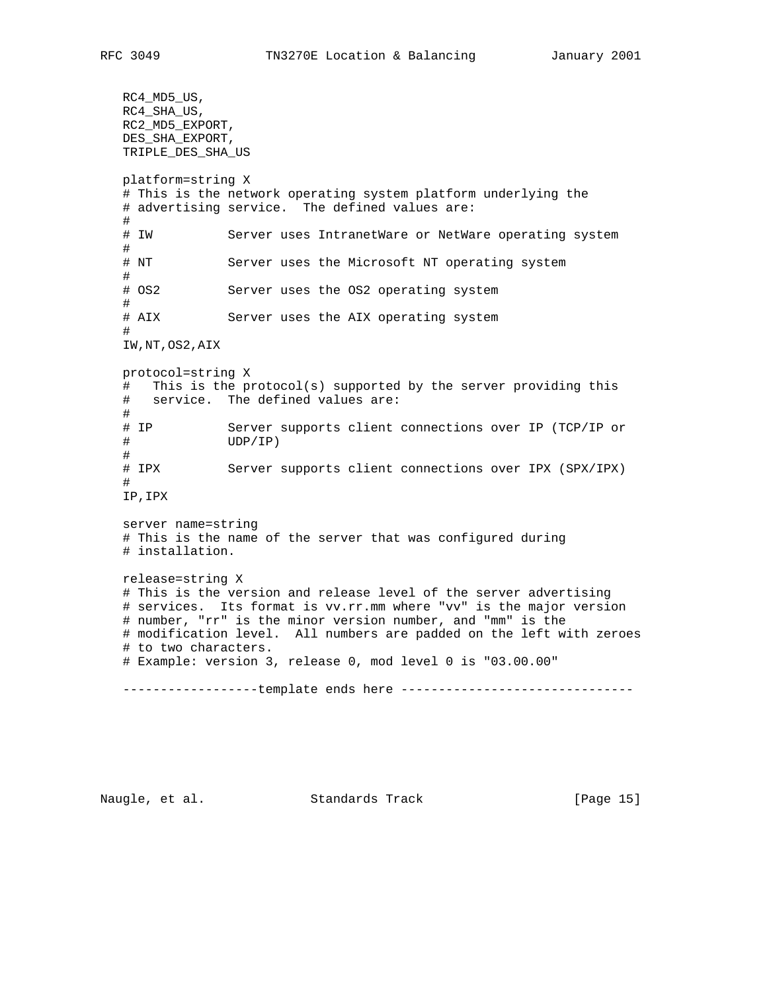RC4\_MD5\_US, RC4\_SHA\_US, RC2\_MD5\_EXPORT, DES\_SHA\_EXPORT, TRIPLE\_DES\_SHA\_US platform=string X # This is the network operating system platform underlying the # advertising service. The defined values are: # # IW Server uses IntranetWare or NetWare operating system # # NT Server uses the Microsoft NT operating system # # OS2 Server uses the OS2 operating system # # AIX Server uses the AIX operating system # IW,NT,OS2,AIX protocol=string X # This is the protocol(s) supported by the server providing this # service. The defined values are: # # IP Server supports client connections over IP (TCP/IP or # UDP/IP) # # IPX Server supports client connections over IPX (SPX/IPX) # IP,IPX server name=string # This is the name of the server that was configured during # installation. release=string X # This is the version and release level of the server advertising # services. Its format is vv.rr.mm where "vv" is the major version # number, "rr" is the minor version number, and "mm" is the # modification level. All numbers are padded on the left with zeroes # to two characters. # Example: version 3, release 0, mod level 0 is "03.00.00" ------------------template ends here -------------------------------

Naugle, et al. Standards Track [Page 15]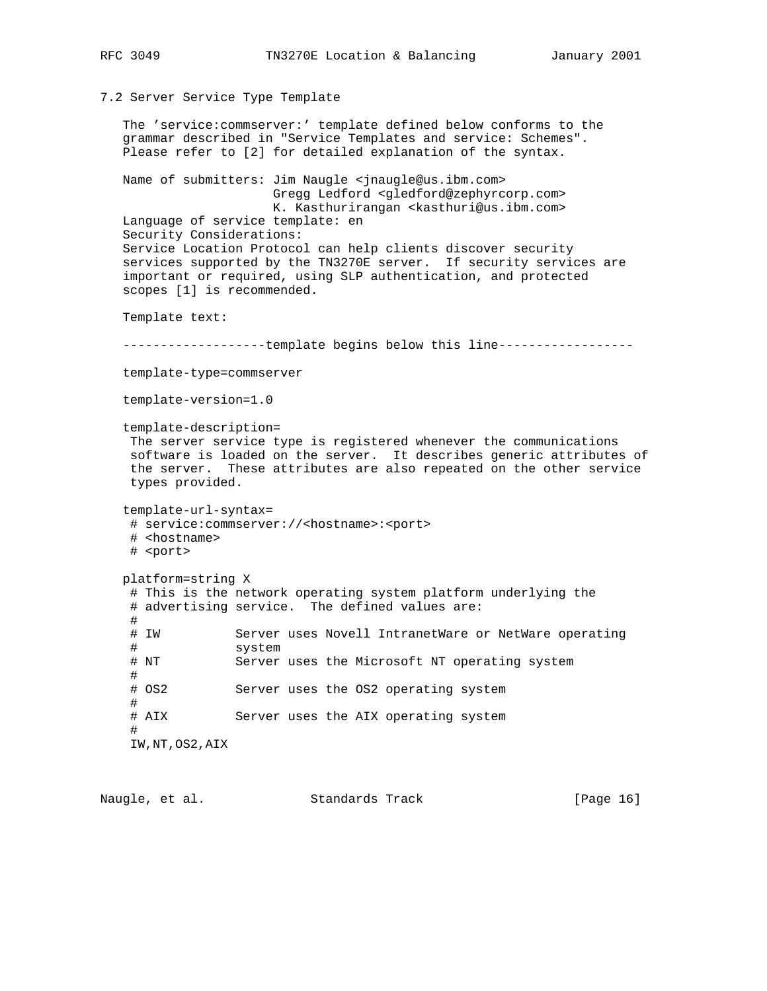```
7.2 Server Service Type Template
```
 The 'service:commserver:' template defined below conforms to the grammar described in "Service Templates and service: Schemes". Please refer to [2] for detailed explanation of the syntax.

 Name of submitters: Jim Naugle <jnaugle@us.ibm.com> Gregg Ledford <gledford@zephyrcorp.com> K. Kasthurirangan <kasthuri@us.ibm.com> Language of service template: en Security Considerations: Service Location Protocol can help clients discover security services supported by the TN3270E server. If security services are important or required, using SLP authentication, and protected scopes [1] is recommended.

Template text:

-------------------template begins below this line------------------

template-type=commserver

template-version=1.0

template-description=

 The server service type is registered whenever the communications software is loaded on the server. It describes generic attributes of the server. These attributes are also repeated on the other service types provided.

 template-url-syntax= # service:commserver://<hostname>:<port> # <hostname> # <port> platform=string X # This is the network operating system platform underlying the # advertising service. The defined values are: #<br># IW Server uses Novell IntranetWare or NetWare operating # system # NT Server uses the Microsoft NT operating system # # OS2 Server uses the OS2 operating system # # AIX Server uses the AIX operating system #

IW,NT,OS2,AIX

Naugle, et al. Standards Track [Page 16]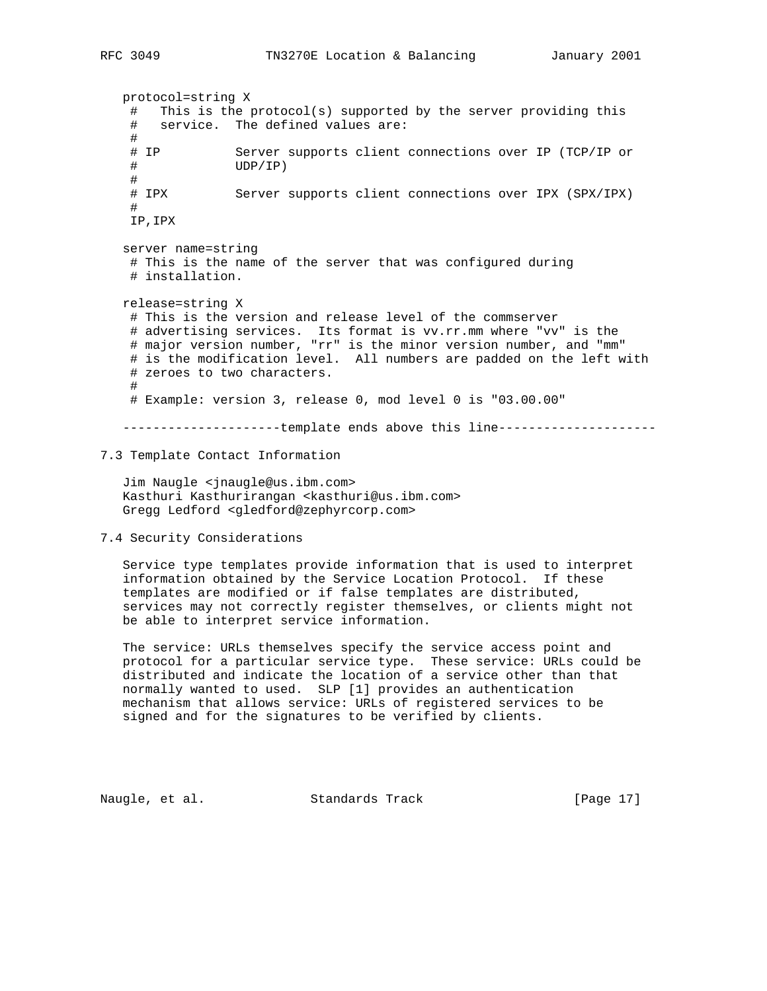protocol=string X # This is the protocol(s) supported by the server providing this # service. The defined values are: # # IP Server supports client connections over IP (TCP/IP or # UDP/IP) # # IPX Server supports client connections over IPX (SPX/IPX) # IP,IPX server name=string # This is the name of the server that was configured during # installation. release=string X # This is the version and release level of the commserver # advertising services. Its format is vv.rr.mm where "vv" is the # major version number, "rr" is the minor version number, and "mm" # is the modification level. All numbers are padded on the left with # zeroes to two characters. # # Example: version 3, release 0, mod level 0 is "03.00.00" ----------------------template ends above this line---------------------

7.3 Template Contact Information

 Jim Naugle <jnaugle@us.ibm.com> Kasthuri Kasthurirangan <kasthuri@us.ibm.com> Gregg Ledford <gledford@zephyrcorp.com>

7.4 Security Considerations

 Service type templates provide information that is used to interpret information obtained by the Service Location Protocol. If these templates are modified or if false templates are distributed, services may not correctly register themselves, or clients might not be able to interpret service information.

 The service: URLs themselves specify the service access point and protocol for a particular service type. These service: URLs could be distributed and indicate the location of a service other than that normally wanted to used. SLP [1] provides an authentication mechanism that allows service: URLs of registered services to be signed and for the signatures to be verified by clients.

Naugle, et al. Standards Track [Page 17]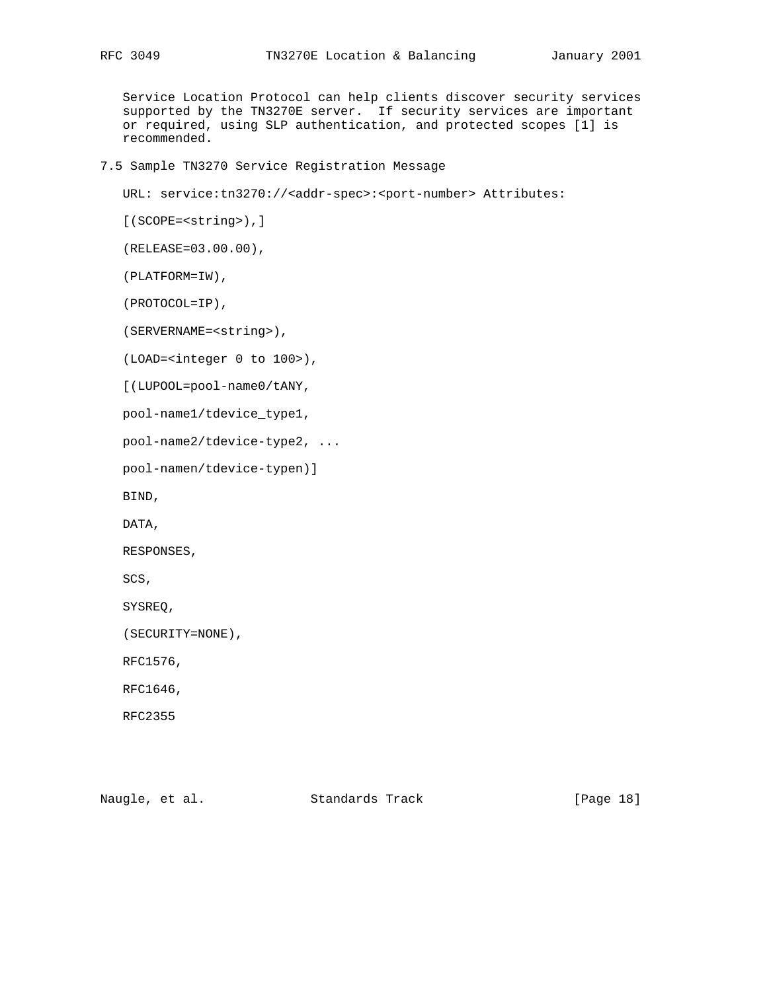Service Location Protocol can help clients discover security services supported by the TN3270E server. If security services are important or required, using SLP authentication, and protected scopes [1] is recommended.

7.5 Sample TN3270 Service Registration Message

URL: service:tn3270://<addr-spec>:<port-number> Attributes:

[(SCOPE=<string>),]

(RELEASE=03.00.00),

(PLATFORM=IW),

(PROTOCOL=IP),

(SERVERNAME=<string>),

(LOAD=<integer 0 to 100>),

[(LUPOOL=pool-name0/tANY,

pool-name1/tdevice\_type1,

pool-name2/tdevice-type2, ...

pool-namen/tdevice-typen)]

BIND,

DATA,

RESPONSES,

SCS,

SYSREQ,

(SECURITY=NONE),

RFC1576,

RFC1646,

RFC2355

Naugle, et al. Standards Track [Page 18]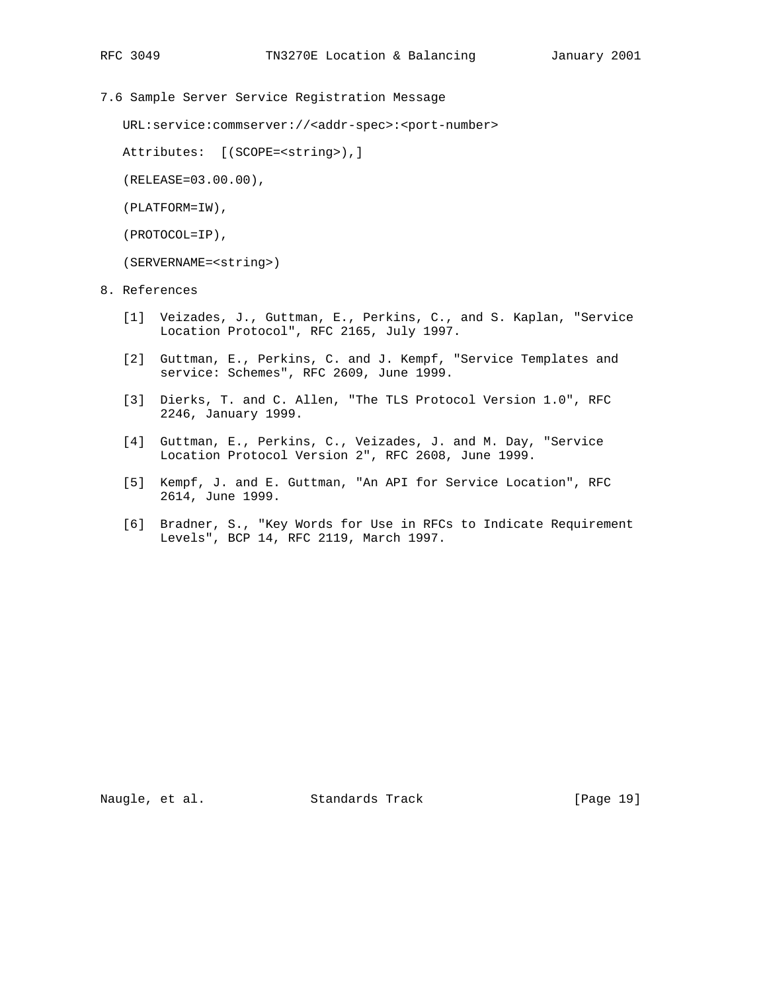7.6 Sample Server Service Registration Message

URL:service:commserver://<addr-spec>:<port-number>

Attributes: [(SCOPE=<string>),]

(RELEASE=03.00.00),

(PLATFORM=IW),

(PROTOCOL=IP),

(SERVERNAME=<string>)

8. References

- [1] Veizades, J., Guttman, E., Perkins, C., and S. Kaplan, "Service Location Protocol", RFC 2165, July 1997.
- [2] Guttman, E., Perkins, C. and J. Kempf, "Service Templates and service: Schemes", RFC 2609, June 1999.
- [3] Dierks, T. and C. Allen, "The TLS Protocol Version 1.0", RFC 2246, January 1999.
- [4] Guttman, E., Perkins, C., Veizades, J. and M. Day, "Service Location Protocol Version 2", RFC 2608, June 1999.
- [5] Kempf, J. and E. Guttman, "An API for Service Location", RFC 2614, June 1999.
- [6] Bradner, S., "Key Words for Use in RFCs to Indicate Requirement Levels", BCP 14, RFC 2119, March 1997.

Naugle, et al. Standards Track [Page 19]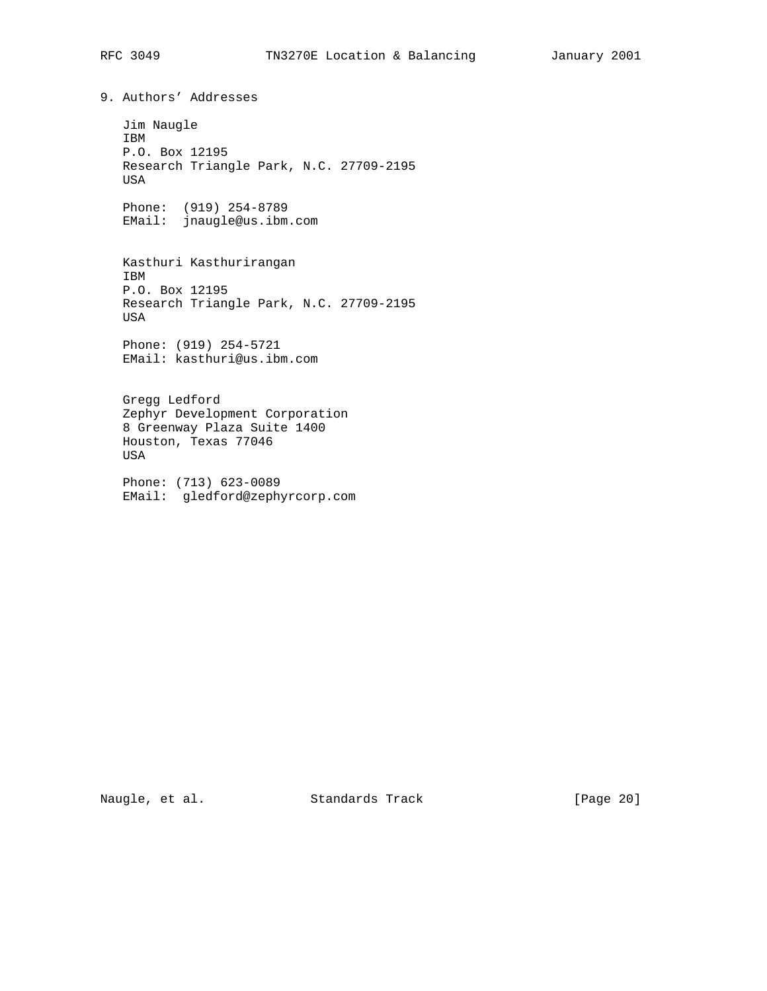9. Authors' Addresses Jim Naugle IBM P.O. Box 12195 Research Triangle Park, N.C. 27709-2195 USA Phone: (919) 254-8789 EMail: jnaugle@us.ibm.com Kasthuri Kasthurirangan IBM P.O. Box 12195 Research Triangle Park, N.C. 27709-2195 USA Phone: (919) 254-5721 EMail: kasthuri@us.ibm.com Gregg Ledford Zephyr Development Corporation 8 Greenway Plaza Suite 1400 Houston, Texas 77046 USA Phone: (713) 623-0089 EMail: gledford@zephyrcorp.com

Naugle, et al. Standards Track [Page 20]